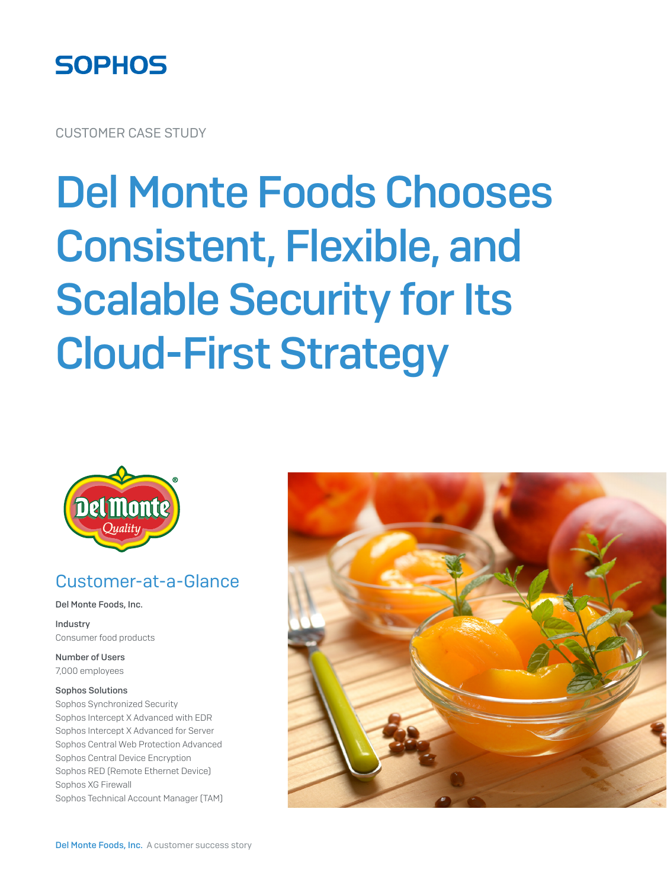

CUSTOMER CASE STUDY

# Del Monte Foods Chooses Consistent, Flexible, and Scalable Security for Its Cloud-First Strategy



#### Customer-at-a-Glance

Del Monte Foods, Inc.

Industry Consumer food products

Number of Users 7,000 employees

#### Sophos Solutions

Sophos Synchronized Security Sophos Intercept X Advanced with EDR Sophos Intercept X Advanced for Server Sophos Central Web Protection Advanced Sophos Central Device Encryption Sophos RED (Remote Ethernet Device) Sophos XG Firewall Sophos Technical Account Manager (TAM)

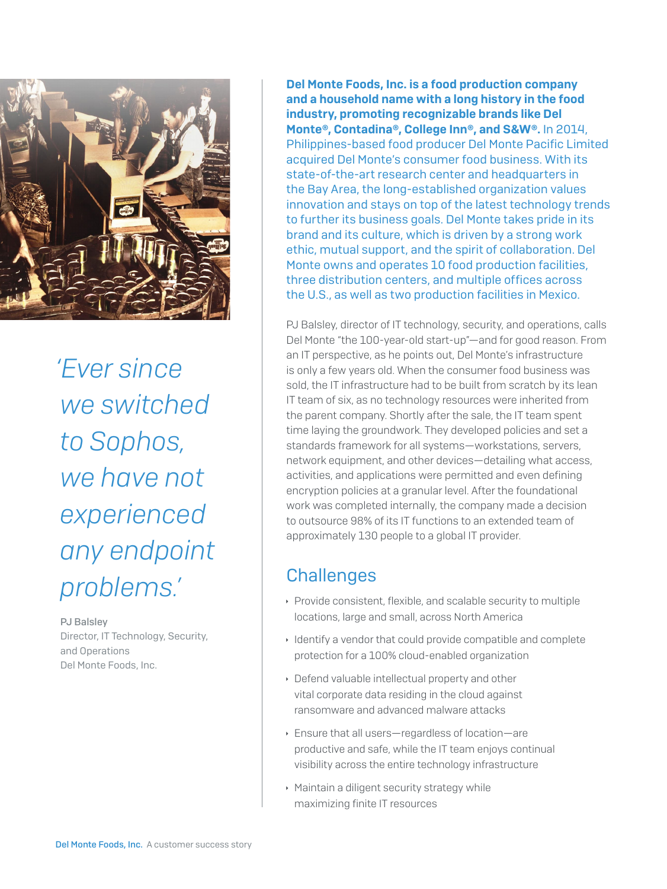

*'Ever since we switched to Sophos, we have not experienced any endpoint problems.'*

PJ Balsley Director, IT Technology, Security, and Operations Del Monte Foods, Inc.

Del Monte Foods, Inc. is a food production company and a household name with a long history in the food industry, promoting recognizable brands like Del Monte®, Contadina®, College Inn®, and S&W®. In 2014, Philippines-based food producer Del Monte Pacific Limited acquired Del Monte's consumer food business. With its state-of-the-art research center and headquarters in the Bay Area, the long-established organization values innovation and stays on top of the latest technology trends to further its business goals. Del Monte takes pride in its brand and its culture, which is driven by a strong work ethic, mutual support, and the spirit of collaboration. Del Monte owns and operates 10 food production facilities, three distribution centers, and multiple offices across the U.S., as well as two production facilities in Mexico.

PJ Balsley, director of IT technology, security, and operations, calls Del Monte "the 100-year-old start-up"—and for good reason. From an IT perspective, as he points out, Del Monte's infrastructure is only a few years old. When the consumer food business was sold, the IT infrastructure had to be built from scratch by its lean IT team of six, as no technology resources were inherited from the parent company. Shortly after the sale, the IT team spent time laying the groundwork. They developed policies and set a standards framework for all systems—workstations, servers, network equipment, and other devices—detailing what access, activities, and applications were permitted and even defining encryption policies at a granular level. After the foundational work was completed internally, the company made a decision to outsource 98% of its IT functions to an extended team of approximately 130 people to a global IT provider.

## **Challenges**

- **Provide consistent, flexible, and scalable security to multiple** locations, large and small, across North America
- $\cdot$  Identify a vendor that could provide compatible and complete protection for a 100% cloud-enabled organization
- $\rightarrow$  Defend valuable intellectual property and other vital corporate data residing in the cloud against ransomware and advanced malware attacks
- **Ensure that all users—regardless of location—are** productive and safe, while the IT team enjoys continual visibility across the entire technology infrastructure
- $\cdot$  Maintain a diligent security strategy while maximizing finite IT resources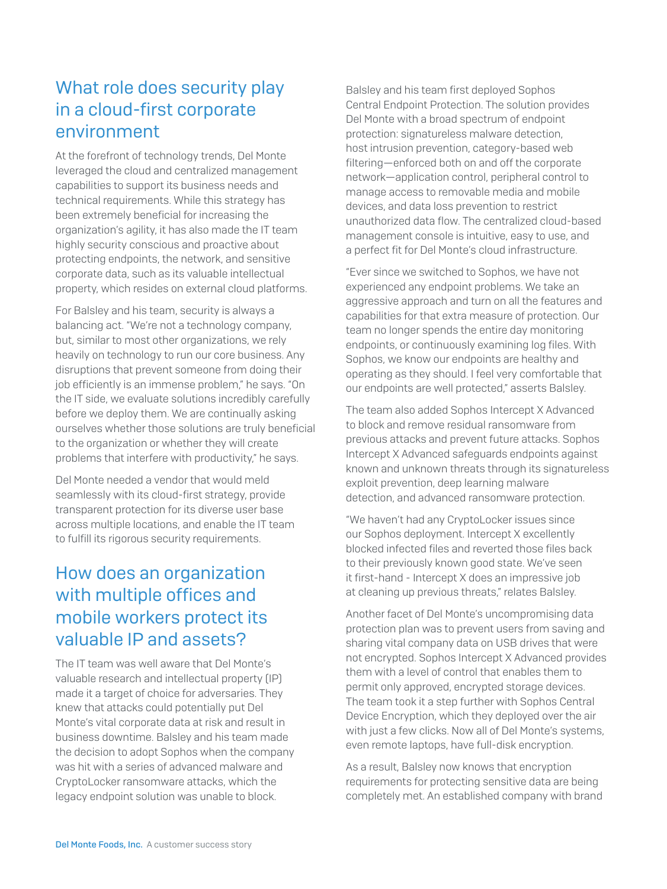## What role does security play in a cloud-first corporate environment

At the forefront of technology trends, Del Monte leveraged the cloud and centralized management capabilities to support its business needs and technical requirements. While this strategy has been extremely beneficial for increasing the organization's agility, it has also made the IT team highly security conscious and proactive about protecting endpoints, the network, and sensitive corporate data, such as its valuable intellectual property, which resides on external cloud platforms.

For Balsley and his team, security is always a balancing act. "We're not a technology company, but, similar to most other organizations, we rely heavily on technology to run our core business. Any disruptions that prevent someone from doing their job efficiently is an immense problem," he says. "On the IT side, we evaluate solutions incredibly carefully before we deploy them. We are continually asking ourselves whether those solutions are truly beneficial to the organization or whether they will create problems that interfere with productivity," he says.

Del Monte needed a vendor that would meld seamlessly with its cloud-first strategy, provide transparent protection for its diverse user base across multiple locations, and enable the IT team to fulfill its rigorous security requirements.

## How does an organization with multiple offices and mobile workers protect its valuable IP and assets?

The IT team was well aware that Del Monte's valuable research and intellectual property (IP) made it a target of choice for adversaries. They knew that attacks could potentially put Del Monte's vital corporate data at risk and result in business downtime. Balsley and his team made the decision to adopt Sophos when the company was hit with a series of advanced malware and CryptoLocker ransomware attacks, which the legacy endpoint solution was unable to block.

Balsley and his team first deployed Sophos Central Endpoint Protection. The solution provides Del Monte with a broad spectrum of endpoint protection: signatureless malware detection, host intrusion prevention, category-based web filtering—enforced both on and off the corporate network—application control, peripheral control to manage access to removable media and mobile devices, and data loss prevention to restrict unauthorized data flow. The centralized cloud-based management console is intuitive, easy to use, and a perfect fit for Del Monte's cloud infrastructure.

"Ever since we switched to Sophos, we have not experienced any endpoint problems. We take an aggressive approach and turn on all the features and capabilities for that extra measure of protection. Our team no longer spends the entire day monitoring endpoints, or continuously examining log files. With Sophos, we know our endpoints are healthy and operating as they should. I feel very comfortable that our endpoints are well protected," asserts Balsley.

The team also added Sophos Intercept X Advanced to block and remove residual ransomware from previous attacks and prevent future attacks. Sophos Intercept X Advanced safeguards endpoints against known and unknown threats through its signatureless exploit prevention, deep learning malware detection, and advanced ransomware protection.

"We haven't had any CryptoLocker issues since our Sophos deployment. Intercept X excellently blocked infected files and reverted those files back to their previously known good state. We've seen it first-hand - Intercept X does an impressive job at cleaning up previous threats," relates Balsley.

Another facet of Del Monte's uncompromising data protection plan was to prevent users from saving and sharing vital company data on USB drives that were not encrypted. Sophos Intercept X Advanced provides them with a level of control that enables them to permit only approved, encrypted storage devices. The team took it a step further with Sophos Central Device Encryption, which they deployed over the air with just a few clicks. Now all of Del Monte's systems, even remote laptops, have full-disk encryption.

As a result, Balsley now knows that encryption requirements for protecting sensitive data are being completely met. An established company with brand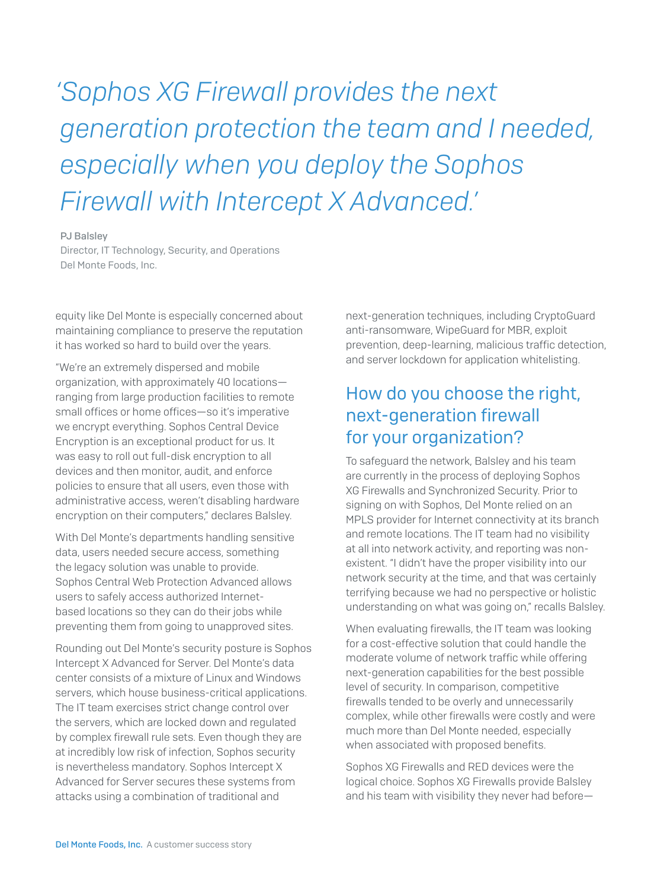*'Sophos XG Firewall provides the next generation protection the team and I needed, especially when you deploy the Sophos Firewall with Intercept X Advanced.'*

#### PJ Balsley

Director, IT Technology, Security, and Operations Del Monte Foods, Inc.

equity like Del Monte is especially concerned about maintaining compliance to preserve the reputation it has worked so hard to build over the years.

"We're an extremely dispersed and mobile organization, with approximately 40 locations ranging from large production facilities to remote small offices or home offices—so it's imperative we encrypt everything. Sophos Central Device Encryption is an exceptional product for us. It was easy to roll out full-disk encryption to all devices and then monitor, audit, and enforce policies to ensure that all users, even those with administrative access, weren't disabling hardware encryption on their computers," declares Balsley.

With Del Monte's departments handling sensitive data, users needed secure access, something the legacy solution was unable to provide. Sophos Central Web Protection Advanced allows users to safely access authorized Internetbased locations so they can do their jobs while preventing them from going to unapproved sites.

Rounding out Del Monte's security posture is Sophos Intercept X Advanced for Server. Del Monte's data center consists of a mixture of Linux and Windows servers, which house business-critical applications. The IT team exercises strict change control over the servers, which are locked down and regulated by complex firewall rule sets. Even though they are at incredibly low risk of infection, Sophos security is nevertheless mandatory. Sophos Intercept X Advanced for Server secures these systems from attacks using a combination of traditional and

next-generation techniques, including CryptoGuard anti-ransomware, WipeGuard for MBR, exploit prevention, deep-learning, malicious traffic detection, and server lockdown for application whitelisting.

### How do you choose the right, next-generation firewall for your organization?

To safeguard the network, Balsley and his team are currently in the process of deploying Sophos XG Firewalls and Synchronized Security. Prior to signing on with Sophos, Del Monte relied on an MPLS provider for Internet connectivity at its branch and remote locations. The IT team had no visibility at all into network activity, and reporting was nonexistent. "I didn't have the proper visibility into our network security at the time, and that was certainly terrifying because we had no perspective or holistic understanding on what was going on," recalls Balsley.

When evaluating firewalls, the IT team was looking for a cost-effective solution that could handle the moderate volume of network traffic while offering next-generation capabilities for the best possible level of security. In comparison, competitive firewalls tended to be overly and unnecessarily complex, while other firewalls were costly and were much more than Del Monte needed, especially when associated with proposed benefits.

Sophos XG Firewalls and RED devices were the logical choice. Sophos XG Firewalls provide Balsley and his team with visibility they never had before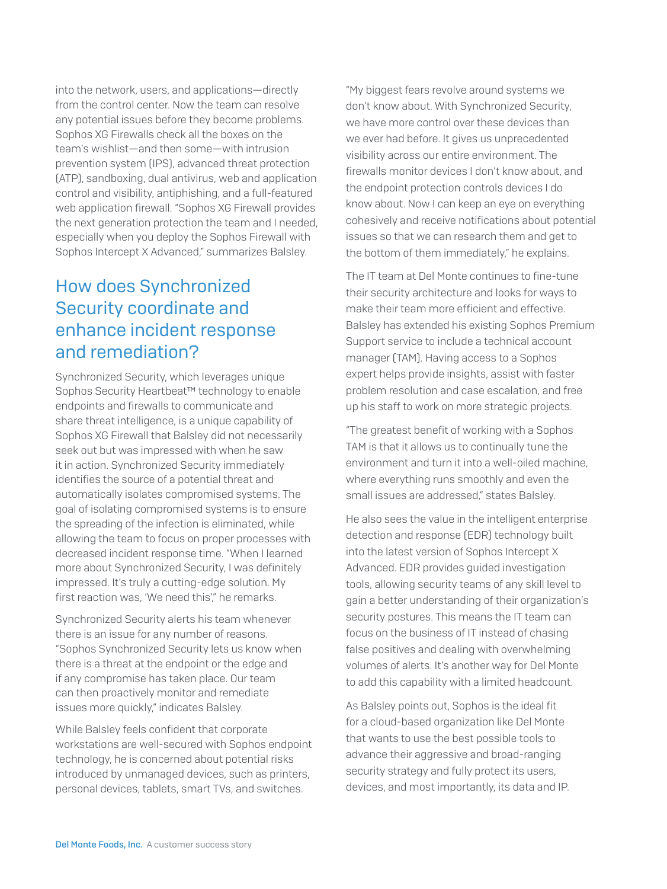into the network, users, and applications—directly from the control center. Now the team can resolve any potential issues before they become problems. Sophos XG Firewalls check all the boxes on the team's wishlist—and then some—with intrusion prevention system (IPS), advanced threat protection (ATP), sandboxing, dual antivirus, web and application control and visibility, antiphishing, and a full-featured web application firewall. "Sophos XG Firewall provides the next generation protection the team and I needed, especially when you deploy the Sophos Firewall with Sophos Intercept X Advanced," summarizes Balsley.

### How does Synchronized Security coordinate and enhance incident response and remediation?

Synchronized Security, which leverages unique Sophos Security Heartbeat™ technology to enable endpoints and firewalls to communicate and share threat intelligence, is a unique capability of Sophos XG Firewall that Balsley did not necessarily seek out but was impressed with when he saw it in action. Synchronized Security immediately identifies the source of a potential threat and automatically isolates compromised systems. The goal of isolating compromised systems is to ensure the spreading of the infection is eliminated, while allowing the team to focus on proper processes with decreased incident response time. "When I learned more about Synchronized Security, I was definitely impressed. It's truly a cutting-edge solution. My first reaction was, 'We need this'," he remarks.

Synchronized Security alerts his team whenever there is an issue for any number of reasons. "Sophos Synchronized Security lets us know when there is a threat at the endpoint or the edge and if any compromise has taken place. Our team can then proactively monitor and remediate issues more quickly," indicates Balsley.

While Balsley feels confident that corporate workstations are well-secured with Sophos endpoint technology, he is concerned about potential risks introduced by unmanaged devices, such as printers, personal devices, tablets, smart TVs, and switches.

"My biggest fears revolve around systems we don't know about. With Synchronized Security, we have more control over these devices than we ever had before. It gives us unprecedented visibility across our entire environment. The firewalls monitor devices I don't know about, and the endpoint protection controls devices I do know about. Now I can keep an eye on everything cohesively and receive notifications about potential issues so that we can research them and get to the bottom of them immediately," he explains.

The IT team at Del Monte continues to fine-tune their security architecture and looks for ways to make their team more efficient and effective. Balsley has extended his existing Sophos Premium Support service to include a technical account manager (TAM). Having access to a Sophos expert helps provide insights, assist with faster problem resolution and case escalation, and free up his staff to work on more strategic projects.

"The greatest benefit of working with a Sophos TAM is that it allows us to continually tune the environment and turn it into a well-oiled machine, where everything runs smoothly and even the small issues are addressed," states Balsley.

He also sees the value in the intelligent enterprise detection and response (EDR) technology built into the latest version of Sophos Intercept X Advanced. EDR provides guided investigation tools, allowing security teams of any skill level to gain a better understanding of their organization's security postures. This means the IT team can focus on the business of IT instead of chasing false positives and dealing with overwhelming volumes of alerts. It's another way for Del Monte to add this capability with a limited headcount.

As Balsley points out, Sophos is the ideal fit for a cloud-based organization like Del Monte that wants to use the best possible tools to advance their aggressive and broad-ranging security strategy and fully protect its users, devices, and most importantly, its data and IP.